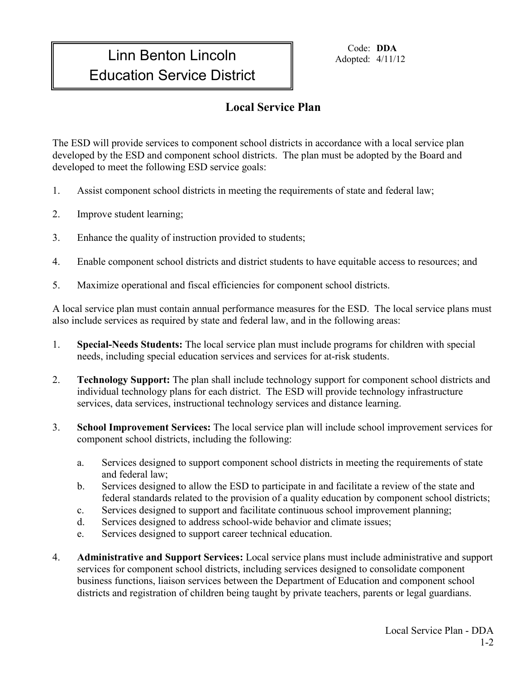## Linn Benton Lincoln Education Service District

Code: **DDA** Adopted: 4/11/12

## **Local Service Plan**

The ESD will provide services to component school districts in accordance with a local service plan developed by the ESD and component school districts. The plan must be adopted by the Board and developed to meet the following ESD service goals:

- 1. Assist component school districts in meeting the requirements of state and federal law;
- 2. Improve student learning;
- 3. Enhance the quality of instruction provided to students;
- 4. Enable component school districts and district students to have equitable access to resources; and
- 5. Maximize operational and fiscal efficiencies for component school districts.

A local service plan must contain annual performance measures for the ESD. The local service plans must also include services as required by state and federal law, and in the following areas:

- 1. **Special-Needs Students:** The local service plan must include programs for children with special needs, including special education services and services for at-risk students.
- 2. **Technology Support:** The plan shall include technology support for component school districts and individual technology plans for each district. The ESD will provide technology infrastructure services, data services, instructional technology services and distance learning.
- 3. **School Improvement Services:** The local service plan will include school improvement services for component school districts, including the following:
	- a. Services designed to support component school districts in meeting the requirements of state and federal law;
	- b. Services designed to allow the ESD to participate in and facilitate a review of the state and federal standards related to the provision of a quality education by component school districts;
	- c. Services designed to support and facilitate continuous school improvement planning;
	- d. Services designed to address school-wide behavior and climate issues;
	- e. Services designed to support career technical education.
- 4. **Administrative and Support Services:** Local service plans must include administrative and support services for component school districts, including services designed to consolidate component business functions, liaison services between the Department of Education and component school districts and registration of children being taught by private teachers, parents or legal guardians.